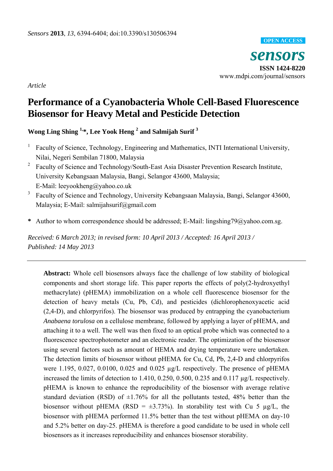

*Article* 

# **Performance of a Cyanobacteria Whole Cell-Based Fluorescence Biosensor for Heavy Metal and Pesticide Detection**

**Wong Ling Shing 1,\*, Lee Yook Heng 2 and Salmijah Surif <sup>3</sup>** 

- <sup>1</sup> Faculty of Science, Technology, Engineering and Mathematics, INTI International University, Nilai, Negeri Sembilan 71800, Malaysia
- <sup>2</sup> Faculty of Science and Technology/South-East Asia Disaster Prevention Research Institute, University Kebangsaan Malaysia, Bangi, Selangor 43600, Malaysia; E-Mail: leeyookheng@yahoo.co.uk
- 3 Faculty of Science and Technology, University Kebangsaan Malaysia, Bangi, Selangor 43600, Malaysia; E-Mail: salmijahsurif@gmail.com
- **\*** Author to whom correspondence should be addressed; E-Mail: lingshing79@yahoo.com.sg.

*Received: 6 March 2013; in revised form: 10 April 2013 / Accepted: 16 April 2013 / Published: 14 May 2013* 

**Abstract:** Whole cell biosensors always face the challenge of low stability of biological components and short storage life. This paper reports the effects of poly(2-hydroxyethyl methacrylate) (pHEMA) immobilization on a whole cell fluorescence biosensor for the detection of heavy metals (Cu, Pb, Cd), and pesticides (dichlorophenoxyacetic acid (2,4-D), and chlorpyrifos). The biosensor was produced by entrapping the cyanobacterium *Anabaena torulosa* on a cellulose membrane, followed by applying a layer of pHEMA, and attaching it to a well. The well was then fixed to an optical probe which was connected to a fluorescence spectrophotometer and an electronic reader. The optimization of the biosensor using several factors such as amount of HEMA and drying temperature were undertaken. The detection limits of biosensor without pHEMA for Cu, Cd, Pb, 2,4-D and chlorpyrifos were 1.195, 0.027, 0.0100, 0.025 and 0.025 µg/L respectively. The presence of pHEMA increased the limits of detection to 1.410, 0.250, 0.500, 0.235 and 0.117 µg/L respectively. pHEMA is known to enhance the reproducibility of the biosensor with average relative standard deviation (RSD) of  $\pm 1.76\%$  for all the pollutants tested, 48% better than the biosensor without pHEMA (RSD =  $\pm$ 3.73%). In storability test with Cu 5 µg/L, the biosensor with pHEMA performed 11.5% better than the test without pHEMA on day-10 and 5.2% better on day-25. pHEMA is therefore a good candidate to be used in whole cell biosensors as it increases reproducibility and enhances biosensor storability.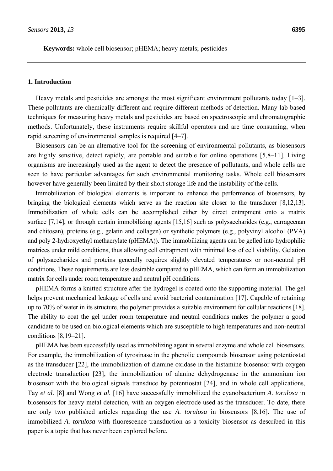**Keywords:** whole cell biosensor; pHEMA; heavy metals; pesticides

## **1. Introduction**

Heavy metals and pesticides are amongst the most significant environment pollutants today [1–3]. These pollutants are chemically different and require different methods of detection. Many lab-based techniques for measuring heavy metals and pesticides are based on spectroscopic and chromatographic methods. Unfortunately, these instruments require skillful operators and are time consuming, when rapid screening of environmental samples is required [4–7].

Biosensors can be an alternative tool for the screening of environmental pollutants, as biosensors are highly sensitive, detect rapidly, are portable and suitable for online operations [5,8–11]. Living organisms are increasingly used as the agent to detect the presence of pollutants, and whole cells are seen to have particular advantages for such environmental monitoring tasks. Whole cell biosensors however have generally been limited by their short storage life and the instability of the cells.

Immobilization of biological elements is important to enhance the performance of biosensors, by bringing the biological elements which serve as the reaction site closer to the transducer [8,12,13]. Immobilization of whole cells can be accomplished either by direct entrapment onto a matrix surface [7,14], or through certain immobilizing agents [15,16] such as polysaccharides (e.g., carrageenan and chitosan), proteins (e.g., gelatin and collagen) or synthetic polymers (e.g., polyvinyl alcohol (PVA) and poly 2-hydroxyethyl methacrylate (pHEMA)). The immobilizing agents can be gelled into hydrophilic matrices under mild conditions, thus allowing cell entrapment with minimal loss of cell viability. Gelation of polysaccharides and proteins generally requires slightly elevated temperatures or non-neutral pH conditions. These requirements are less desirable compared to pHEMA, which can form an immobilization matrix for cells under room temperature and neutral pH conditions.

pHEMA forms a knitted structure after the hydrogel is coated onto the supporting material. The gel helps prevent mechanical leakage of cells and avoid bacterial contamination [17]. Capable of retaining up to 70% of water in its structure, the polymer provides a suitable environment for cellular reactions [18]. The ability to coat the gel under room temperature and neutral conditions makes the polymer a good candidate to be used on biological elements which are susceptible to high temperatures and non-neutral conditions [8,19–21].

pHEMA has been successfully used as immobilizing agent in several enzyme and whole cell biosensors. For example, the immobilization of tyrosinase in the phenolic compounds biosensor using potentiostat as the transducer [22], the immobilization of diamine oxidase in the histamine biosensor with oxygen electrode transduction [23], the immobilization of alanine dehydrogenase in the ammonium ion biosensor with the biological signals transduce by potentiostat [24], and in whole cell applications, Tay *et al.* [8] and Wong *et al.* [16] have successfully immobilized the cyanobacterium *A. torulosa* in biosensors for heavy metal detection, with an oxygen electrode used as the transducer. To date, there are only two published articles regarding the use *A. torulosa* in biosensors [8,16]. The use of immobilized *A. torulosa* with fluorescence transduction as a toxicity biosensor as described in this paper is a topic that has never been explored before.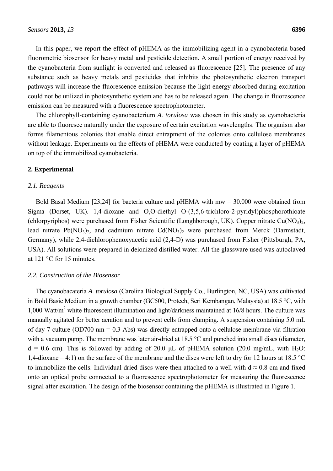In this paper, we report the effect of pHEMA as the immobilizing agent in a cyanobacteria-based fluorometric biosensor for heavy metal and pesticide detection. A small portion of energy received by the cyanobacteria from sunlight is converted and released as fluorescence [25]. The presence of any substance such as heavy metals and pesticides that inhibits the photosynthetic electron transport pathways will increase the fluorescence emission because the light energy absorbed during excitation could not be utilized in photosynthetic system and has to be released again. The change in fluorescence emission can be measured with a fluorescence spectrophotometer.

The chlorophyll-containing cyanobacterium *A. torulosa* was chosen in this study as cyanobacteria are able to fluoresce naturally under the exposure of certain excitation wavelengths. The organism also forms filamentous colonies that enable direct entrapment of the colonies onto cellulose membranes without leakage. Experiments on the effects of pHEMA were conducted by coating a layer of pHEMA on top of the immobilized cyanobacteria.

## **2. Experimental**

#### *2.1. Reagents*

Bold Basal Medium [23,24] for bacteria culture and pHEMA with mw = 30.000 were obtained from Sigma (Dorset, UK). 1,4-dioxane and O,O-diethyl O-(3,5,6-trichloro-2-pyridyl)phosphorothioate (chlorpyriphos) were purchased from Fisher Scientific (Longhborough, UK). Copper nitrate Cu(NO<sub>3</sub>)<sub>2</sub>, lead nitrate  $Pb(NO_3)$ , and cadmium nitrate  $Cd(NO_3)$ , were purchased from Merck (Darmstadt, Germany), while 2,4-dichlorophenoxyacetic acid (2,4-D) was purchased from Fisher (Pittsburgh, PA, USA). All solutions were prepared in deionized distilled water. All the glassware used was autoclaved at 121 °C for 15 minutes.

#### *2.2. Construction of the Biosensor*

The cyanobacateria *A. torulosa* (Carolina Biological Supply Co., Burlington, NC, USA) was cultivated in Bold Basic Medium in a growth chamber (GC500, Protech, Seri Kembangan, Malaysia) at 18.5 °C, with 1,000 Watt/m<sup>2</sup> white fluorescent illumination and light/darkness maintained at 16/8 hours. The culture was manually agitated for better aeration and to prevent cells from clumping. A suspension containing 5.0 mL of day-7 culture (OD700 nm = 0.3 Abs) was directly entrapped onto a cellulose membrane via filtration with a vacuum pump. The membrane was later air-dried at 18.5 °C and punched into small discs (diameter,  $d = 0.6$  cm). This is followed by adding of 20.0 µL of pHEMA solution (20.0 mg/mL, with H<sub>2</sub>O: 1,4-dioxane = 4:1) on the surface of the membrane and the discs were left to dry for 12 hours at 18.5 °C to immobilize the cells. Individual dried discs were then attached to a well with  $d \approx 0.8$  cm and fixed onto an optical probe connected to a fluorescence spectrophotometer for measuring the fluorescence signal after excitation. The design of the biosensor containing the pHEMA is illustrated in Figure 1.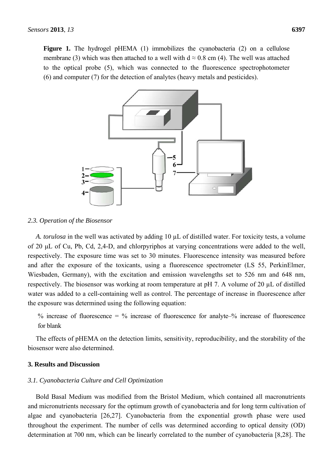**Figure 1.** The hydrogel pHEMA (1) immobilizes the cyanobacteria (2) on a cellulose membrane (3) which was then attached to a well with  $d \approx 0.8$  cm (4). The well was attached to the optical probe (5), which was connected to the fluorescence spectrophotometer (6) and computer (7) for the detection of analytes (heavy metals and pesticides).



#### *2.3. Operation of the Biosensor*

*A. torulosa* in the well was activated by adding 10 µL of distilled water. For toxicity tests, a volume of 20 μL of Cu, Pb, Cd, 2,4-D, and chlorpyriphos at varying concentrations were added to the well, respectively. The exposure time was set to 30 minutes. Fluorescence intensity was measured before and after the exposure of the toxicants, using a fluorescence spectrometer (LS 55, PerkinElmer, Wiesbaden, Germany), with the excitation and emission wavelengths set to 526 nm and 648 nm, respectively. The biosensor was working at room temperature at pH 7. A volume of 20 µL of distilled water was added to a cell-containing well as control. The percentage of increase in fluorescence after the exposure was determined using the following equation:

% increase of fluorescence = % increase of fluorescence for analyte–% increase of fluorescence for blank

The effects of pHEMA on the detection limits, sensitivity, reproducibility, and the storability of the biosensor were also determined.

# **3. Results and Discussion**

#### *3.1. Cyanobacteria Culture and Cell Optimization*

Bold Basal Medium was modified from the Bristol Medium, which contained all macronutrients and micronutrients necessary for the optimum growth of cyanobacteria and for long term cultivation of algae and cyanobacteria [26,27]. Cyanobacteria from the exponential growth phase were used throughout the experiment. The number of cells was determined according to optical density (OD) determination at 700 nm, which can be linearly correlated to the number of cyanobacteria [8,28]. The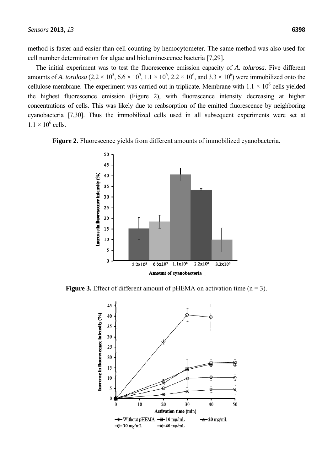method is faster and easier than cell counting by hemocytometer. The same method was also used for cell number determination for algae and bioluminescence bacteria [7,29].

The initial experiment was to test the fluorescence emission capacity of *A. tolurosa*. Five different amounts of *A. torulosa*  $(2.2 \times 10^5, 6.6 \times 10^5, 1.1 \times 10^6, 2.2 \times 10^6,$  and  $3.3 \times 10^6$ ) were immobilized onto the cellulose membrane. The experiment was carried out in triplicate. Membrane with  $1.1 \times 10^6$  cells yielded the highest fluorescence emission (Figure 2), with fluorescence intensity decreasing at higher concentrations of cells. This was likely due to reabsorption of the emitted fluorescence by neighboring cyanobacteria [7,30]. Thus the immobilized cells used in all subsequent experiments were set at  $1.1 \times 10^6$  cells.

**Figure 2.** Fluorescence yields from different amounts of immobilized cyanobacteria.



**Figure 3.** Effect of different amount of pHEMA on activation time  $(n = 3)$ .

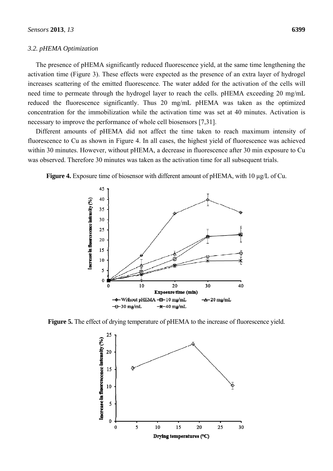# *3.2. pHEMA Optimization*

The presence of pHEMA significantly reduced fluorescence yield, at the same time lengthening the activation time (Figure 3). These effects were expected as the presence of an extra layer of hydrogel increases scattering of the emitted fluorescence. The water added for the activation of the cells will need time to permeate through the hydrogel layer to reach the cells. pHEMA exceeding 20 mg/mL reduced the fluorescence significantly. Thus 20 mg/mL pHEMA was taken as the optimized concentration for the immobilization while the activation time was set at 40 minutes. Activation is necessary to improve the performance of whole cell biosensors [7,31].

Different amounts of pHEMA did not affect the time taken to reach maximum intensity of fluorescence to Cu as shown in Figure 4. In all cases, the highest yield of fluorescence was achieved within 30 minutes. However, without pHEMA, a decrease in fluorescence after 30 min exposure to Cu was observed. Therefore 30 minutes was taken as the activation time for all subsequent trials.

**Figure 4.** Exposure time of biosensor with different amount of pHEMA, with 10 µg/L of Cu.



**Figure 5.** The effect of drying temperature of pHEMA to the increase of fluorescence yield.

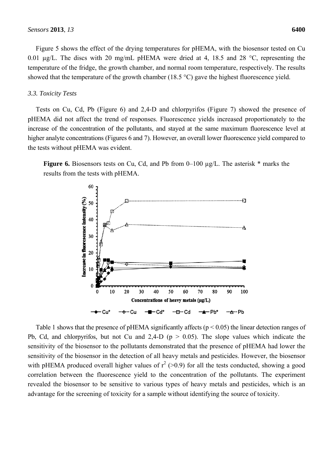Figure 5 shows the effect of the drying temperatures for pHEMA, with the biosensor tested on Cu 0.01 µg/L. The discs with 20 mg/mL pHEMA were dried at 4, 18.5 and 28 °C, representing the temperature of the fridge, the growth chamber, and normal room temperature, respectively. The results showed that the temperature of the growth chamber (18.5  $^{\circ}$ C) gave the highest fluorescence yield.

## *3.3. Toxicity Tests*

Tests on Cu, Cd, Pb (Figure 6) and 2,4-D and chlorpyrifos (Figure 7) showed the presence of pHEMA did not affect the trend of responses. Fluorescence yields increased proportionately to the increase of the concentration of the pollutants, and stayed at the same maximum fluorescence level at higher analyte concentrations (Figures 6 and 7). However, an overall lower fluorescence yield compared to the tests without pHEMA was evident.

**Figure 6.** Biosensors tests on Cu, Cd, and Pb from 0–100 µg/L. The asterisk \* marks the results from the tests with pHEMA.



Table 1 shows that the presence of pHEMA significantly affects ( $p < 0.05$ ) the linear detection ranges of Pb, Cd, and chlorpyrifos, but not Cu and 2,4-D ( $p > 0.05$ ). The slope values which indicate the sensitivity of the biosensor to the pollutants demonstrated that the presence of pHEMA had lower the sensitivity of the biosensor in the detection of all heavy metals and pesticides. However, the biosensor with pHEMA produced overall higher values of  $r^2$  (>0.9) for all the tests conducted, showing a good correlation between the fluorescence yield to the concentration of the pollutants. The experiment revealed the biosensor to be sensitive to various types of heavy metals and pesticides, which is an advantage for the screening of toxicity for a sample without identifying the source of toxicity.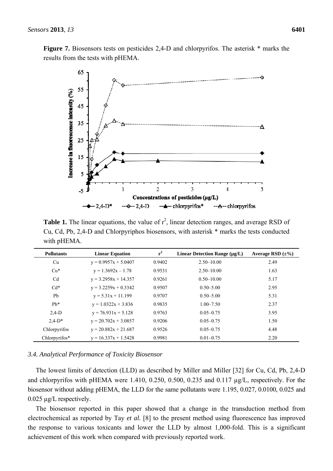**Figure 7.** Biosensors tests on pesticides 2,4-D and chlorpyrifos. The asterisk \* marks the results from the tests with pHEMA.



**Table 1.** The linear equations, the value of  $r^2$ , linear detection ranges, and average RSD of Cu, Cd, Pb, 2,4-D and Chlorpyriphos biosensors, with asterisk \* marks the tests conducted with pHEMA.

| <b>Pollutants</b> | <b>Linear Equation</b> | $r^2$  | Linear Detection Range $(\mu g/L)$ | Average RSD $(\pm\%)$ |
|-------------------|------------------------|--------|------------------------------------|-----------------------|
| Cu                | $y = 0.9957x + 5.0407$ | 0.9402 | $2.50 - 10.00$                     | 2.49                  |
| $Cu*$             | $y = 1.3692x - 1.78$   | 0.9531 | $2.50 - 10.00$                     | 1.63                  |
| C <sub>d</sub>    | $y = 3.2958x + 14.357$ | 0.9261 | $0.50 - 10.00$                     | 5.17                  |
| $Cd*$             | $y = 3.2259x + 0.3342$ | 0.9507 | $0.50 - 5.00$                      | 2.95                  |
| Pb                | $y = 5.31x + 11.199$   | 0.9707 | $0.50 - 5.00$                      | 5.31                  |
| $Pb*$             | $y = 1.0322x + 3.836$  | 0.9835 | $1.00 - 7.50$                      | 2.37                  |
| $2.4-D$           | $y = 76.931x + 5.128$  | 0.9763 | $0.05 - 0.75$                      | 3.95                  |
| $2.4-D*$          | $y = 20.702x + 3.0857$ | 0.9206 | $0.05 - 0.75$                      | 1.50                  |
| Chlorpyrifos      | $y = 20.882x + 21.687$ | 0.9526 | $0.05 - 0.75$                      | 4.48                  |
| Chlorpyrifos*     | $y = 16.337x + 1.5428$ | 0.9981 | $0.01 - 0.75$                      | 2.20                  |

# *3.4. Analytical Performance of Toxicity Biosensor*

The lowest limits of detection (LLD) as described by Miller and Miller [32] for Cu, Cd, Pb, 2,4-D and chlorpyrifos with pHEMA were 1.410, 0.250, 0.500, 0.235 and 0.117 µg/L, respectively. For the biosensor without adding pHEMA, the LLD for the same pollutants were 1.195, 0.027, 0.0100, 0.025 and 0.025 µg/L respectively.

The biosensor reported in this paper showed that a change in the transduction method from electrochemical as reported by Tay *et al.* [8] to the present method using fluorescence has improved the response to various toxicants and lower the LLD by almost 1,000-fold. This is a significant achievement of this work when compared with previously reported work.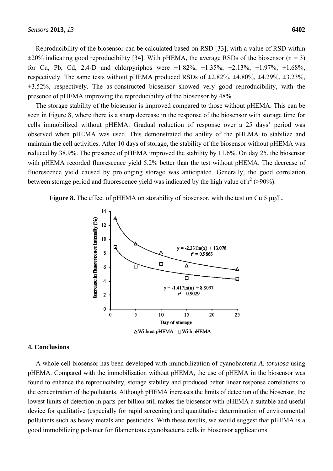Reproducibility of the biosensor can be calculated based on RSD [33], with a value of RSD within  $\pm 20\%$  indicating good reproducibility [34]. With pHEMA, the average RSDs of the biosensor (n = 3) for Cu, Pb, Cd, 2,4-D and chlorpyriphos were  $\pm 1.82\%$ ,  $\pm 1.35\%$ ,  $\pm 2.13\%$ ,  $\pm 1.97\%$ ,  $\pm 1.68\%$ , respectively. The same tests without pHEMA produced RSDs of  $\pm 2.82\%$ ,  $\pm 4.80\%$ ,  $\pm 4.29\%$ ,  $\pm 3.23\%$ ,  $\pm 3.52\%$ , respectively. The as-constructed biosensor showed very good reproducibility, with the presence of pHEMA improving the reproducibility of the biosensor by 48%.

The storage stability of the biosensor is improved compared to those without pHEMA. This can be seen in Figure 8, where there is a sharp decrease in the response of the biosensor with storage time for cells immobilized without pHEMA. Gradual reduction of response over a 25 days' period was observed when pHEMA was used. This demonstrated the ability of the pHEMA to stabilize and maintain the cell activities. After 10 days of storage, the stability of the biosensor without pHEMA was reduced by 38.9%. The presence of pHEMA improved the stability by 11.6%. On day 25, the biosensor with pHEMA recorded fluorescence yield 5.2% better than the test without pHEMA. The decrease of fluorescence yield caused by prolonging storage was anticipated. Generally, the good correlation between storage period and fluorescence yield was indicated by the high value of  $r^2$  (>90%).

**Figure 8.** The effect of pHEMA on storability of biosensor, with the test on Cu 5 µg/L.



#### **4. Conclusions**

A whole cell biosensor has been developed with immobilization of cyanobacteria *A. torulosa* using pHEMA. Compared with the immobilization without pHEMA, the use of pHEMA in the biosensor was found to enhance the reproducibility, storage stability and produced better linear response correlations to the concentration of the pollutants. Although pHEMA increases the limits of detection of the biosensor, the lowest limits of detection in parts per billion still makes the biosensor with pHEMA a suitable and useful device for qualitative (especially for rapid screening) and quantitative determination of environmental pollutants such as heavy metals and pesticides. With these results, we would suggest that pHEMA is a good immobilizing polymer for filamentous cyanobacteria cells in biosensor applications.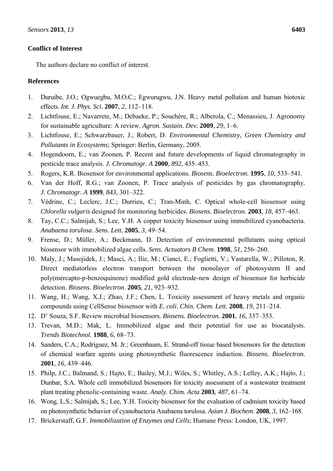# **Conflict of Interest**

The authors declare no conflict of interest.

# **References**

- 1. Duruibe, J.O.; Ogwuegbu, M.O.C.; Egwurugwu, J.N. Heavy metal pollution and human biotoxic effects. *Int. J. Phys. Sci.* **2007**, *2*, 112–118.
- 2. Lichtfouse, E.; Navarrete, M.; Debaeke, P.; Souchère, R.; Alberola, C.; Menassieu, J. Agronomy for sustainable agriculture: A review. *Agron. Sustain. Dev.* **2009**, *29*, 1–6.
- 3. Lichtfouse, E.; Schwarzbauer, J.; Robert, D. *Environmental Chemistry, Green Chemistry and Pollutants in Ecosystems*; Springer: Berlin, Germany, 2005.
- 4. Hogendoorn, E.; van Zoonen, P. Recent and future developments of liquid chromatography in pesticide trace analysis. *J. Chromatogr. A* **2000**, *892*, 435–453.
- 5. Rogers, K.R. Biosensor for environmental applications. *Biosens. Bioelectron.* **1995**, *10*, 533–541.
- 6. Van der Hoff, R.G.; van Zoonen, P. Trace analysis of pesticides by gas chromatography*. J. Chromatogr. A* **1999**, *843*, 301–322.
- 7. Védrine, C.; Leclerc, J.C.; Durrieu, C.; Tran-Minh, C. Optical whole-cell biosensor using *Chlorella vulgaris* designed for monitoring herbicides. *Biosens. Bioelectron.* **2003**, *18*, 457–463.
- 8. Tay, C.C.; Salmijah, S.; Lee, Y.H. A copper toxicity biosensor using immobilized cyanobacteria. *Anabaena torulosa*. *Sens. Lett.* **2005**, *3*, 49–54.
- 9. Frense, D.; Müller, A.; Beckmann, D. Detection of environmental pollutants using optical biosensor with immobilized algae cells. *Sens. Actuators B Chem*. **1998**, *51*, 256–260.
- 10. Maly, J.; Masojidek, J.; Masci, A.; Ilie, M.; Cianci, E.; Foglietti, V.; Vastarella, W.; Pilloton, R. Direct mediatorless electron transport between the monolayer of photosystem II and poly(mercapto-p-benzoquinone) modified gold electrode-new design of biosensor for herbicide detection. *Biosens. Bioelectron*. **2005**, *21*, 923–932.
- 11. Wang, H.; Wang, X.J.; Zhao, J.F.; Chen, L. Toxicity assessment of heavy metals and organic compounds using CellSense biosensor with *E. coli*. *Chin. Chem. Lett.* **2008**, *19*, 211–214.
- 12. D' Souza, S.F. Review microbial biosensors. *Biosens. Bioelectron.* **2001**, *16*, 337–353.
- 13. Trevan, M.D.; Mak, L. Immobilized algae and their potential for use as biocatalysts. *Trends Biotechnol.* **1988**, *6*, 68–73.
- 14. Sanders, C.A.; Rodriguez, M. Jr.; Greenbaum, E. Strand-off tissue based biosensors for the detection of chemical warfare agents using photosynthetic fluorescence induction. *Biosens. Bioelectron.* **2001**, *16*, 439–446.
- 15. Philp, J.C.; Balmand, S.; Hajto, E.; Bailey, M.J.; Wiles, S.; Whitley, A.S.; Lelley, A.K.; Hajto, J.; Dunbar, S.A. Whole cell immobilized biosensors for toxicity assessment of a wastewater treatment plant treating phenolic-containing waste. *Analy. Chim. Acta* **2003**, *487*, 61–74.
- 16. Wong, L.S.; Salmijah, S.; Lee, Y.H. Toxicity biosensor for the evaluation of cadmium toxicity based on photosynthetic behavior of cyanobacteria Anabaena torulosa. *Asian J. Biochem*. **2008**, *3*, 162–168.
- 17. Brickerstaff, G.F. *Immobilization of Enzymes and Cells*; Humane Press: London, UK, 1997.